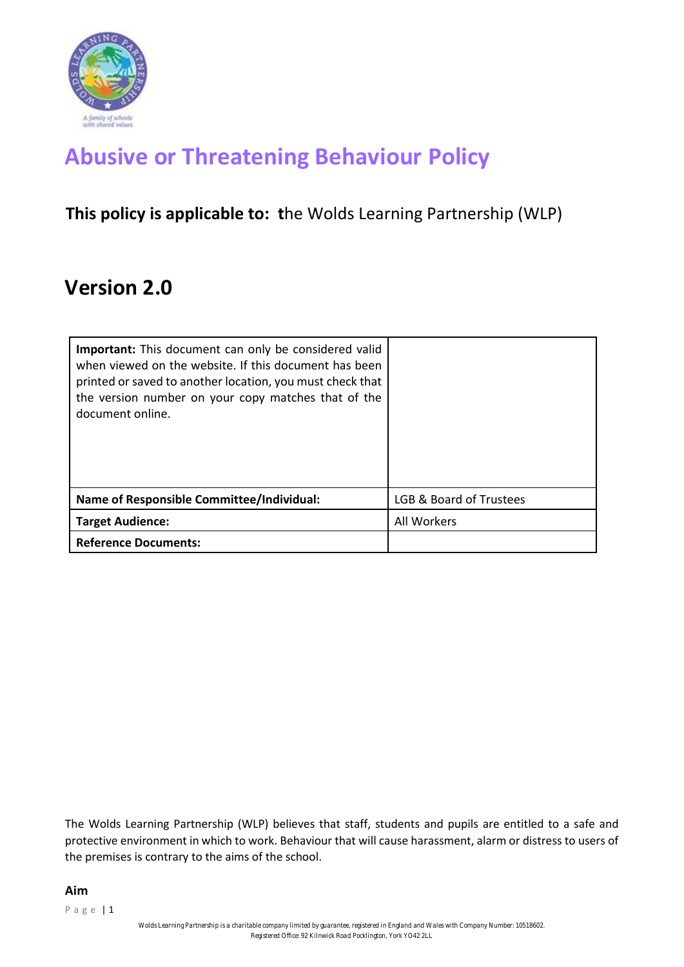

# **Abusive or Threatening Behaviour Policy**

### **This policy is applicable to: t**he Wolds Learning Partnership (WLP)

## **Version 2.0**

| <b>Important:</b> This document can only be considered valid<br>when viewed on the website. If this document has been<br>printed or saved to another location, you must check that<br>the version number on your copy matches that of the<br>document online. |                         |
|---------------------------------------------------------------------------------------------------------------------------------------------------------------------------------------------------------------------------------------------------------------|-------------------------|
| Name of Responsible Committee/Individual:                                                                                                                                                                                                                     | LGB & Board of Trustees |
| <b>Target Audience:</b>                                                                                                                                                                                                                                       | All Workers             |
| <b>Reference Documents:</b>                                                                                                                                                                                                                                   |                         |

The Wolds Learning Partnership (WLP) believes that staff, students and pupils are entitled to a safe and protective environment in which to work. Behaviour that will cause harassment, alarm or distress to users of the premises is contrary to the aims of the school.

#### **Aim**

P a g e | 1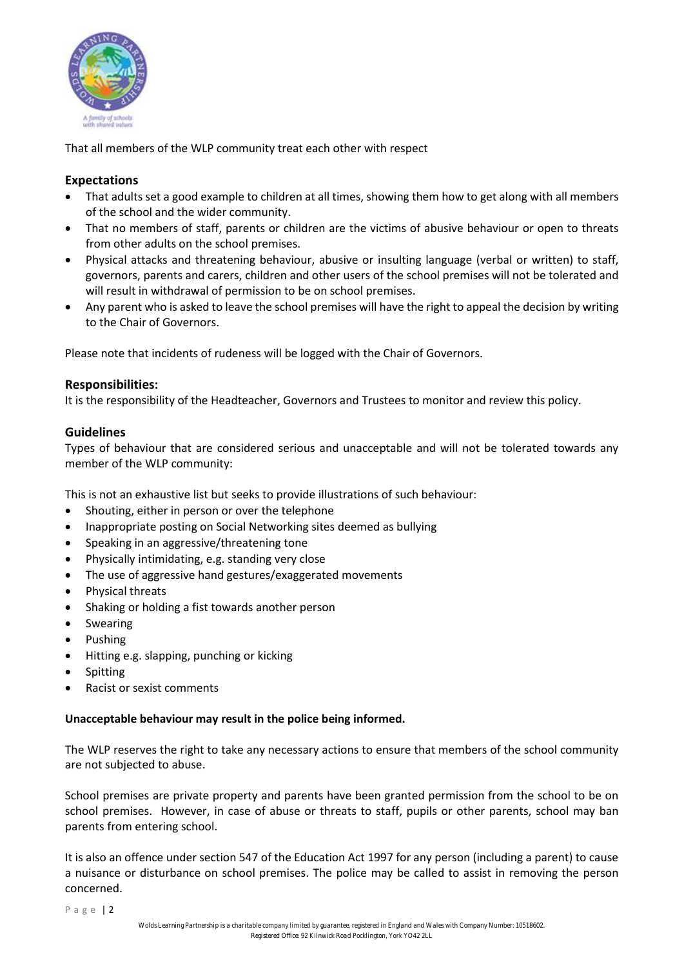

That all members of the WLP community treat each other with respect

#### **Expectations**

- That adults set a good example to children at all times, showing them how to get along with all members of the school and the wider community.
- That no members of staff, parents or children are the victims of abusive behaviour or open to threats from other adults on the school premises.
- Physical attacks and threatening behaviour, abusive or insulting language (verbal or written) to staff, governors, parents and carers, children and other users of the school premises will not be tolerated and will result in withdrawal of permission to be on school premises.
- Any parent who is asked to leave the school premises will have the right to appeal the decision by writing to the Chair of Governors.

Please note that incidents of rudeness will be logged with the Chair of Governors.

#### **Responsibilities:**

It is the responsibility of the Headteacher, Governors and Trustees to monitor and review this policy.

#### **Guidelines**

Types of behaviour that are considered serious and unacceptable and will not be tolerated towards any member of the WLP community:

This is not an exhaustive list but seeks to provide illustrations of such behaviour:

- Shouting, either in person or over the telephone
- Inappropriate posting on Social Networking sites deemed as bullying
- Speaking in an aggressive/threatening tone
- Physically intimidating, e.g. standing very close
- The use of aggressive hand gestures/exaggerated movements
- Physical threats
- Shaking or holding a fist towards another person
- Swearing
- Pushing
- Hitting e.g. slapping, punching or kicking
- **Spitting**
- Racist or sexist comments

#### **Unacceptable behaviour may result in the police being informed.**

The WLP reserves the right to take any necessary actions to ensure that members of the school community are not subjected to abuse.

School premises are private property and parents have been granted permission from the school to be on school premises. However, in case of abuse or threats to staff, pupils or other parents, school may ban parents from entering school.

It is also an offence under section 547 of the Education Act 1997 for any person (including a parent) to cause a nuisance or disturbance on school premises. The police may be called to assist in removing the person concerned.

Page | 2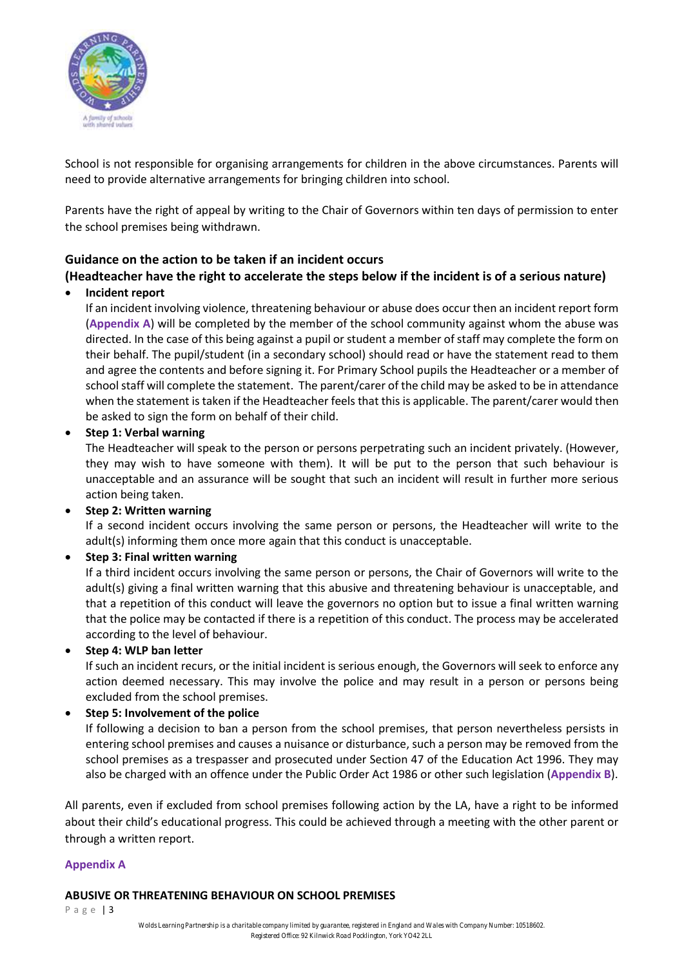

School is not responsible for organising arrangements for children in the above circumstances. Parents will need to provide alternative arrangements for bringing children into school.

Parents have the right of appeal by writing to the Chair of Governors within ten days of permission to enter the school premises being withdrawn.

#### **Guidance on the action to be taken if an incident occurs (Headteacher have the right to accelerate the steps below if the incident is of a serious nature)**

#### • **Incident report**

If an incident involving violence, threatening behaviour or abuse does occur then an incident report form (**Appendix A**) will be completed by the member of the school community against whom the abuse was directed. In the case of this being against a pupil or student a member of staff may complete the form on their behalf. The pupil/student (in a secondary school) should read or have the statement read to them and agree the contents and before signing it. For Primary School pupils the Headteacher or a member of school staff will complete the statement. The parent/carer of the child may be asked to be in attendance when the statement is taken if the Headteacher feels that this is applicable. The parent/carer would then be asked to sign the form on behalf of their child.

• **Step 1: Verbal warning** 

The Headteacher will speak to the person or persons perpetrating such an incident privately. (However, they may wish to have someone with them). It will be put to the person that such behaviour is unacceptable and an assurance will be sought that such an incident will result in further more serious action being taken.

#### • **Step 2: Written warning**

If a second incident occurs involving the same person or persons, the Headteacher will write to the adult(s) informing them once more again that this conduct is unacceptable.

#### • **Step 3: Final written warning**

If a third incident occurs involving the same person or persons, the Chair of Governors will write to the adult(s) giving a final written warning that this abusive and threatening behaviour is unacceptable, and that a repetition of this conduct will leave the governors no option but to issue a final written warning that the police may be contacted if there is a repetition of this conduct. The process may be accelerated according to the level of behaviour.

• **Step 4: WLP ban letter** 

If such an incident recurs, or the initial incident is serious enough, the Governors will seek to enforce any action deemed necessary. This may involve the police and may result in a person or persons being excluded from the school premises.

#### • **Step 5: Involvement of the police**

If following a decision to ban a person from the school premises, that person nevertheless persists in entering school premises and causes a nuisance or disturbance, such a person may be removed from the school premises as a trespasser and prosecuted under Section 47 of the Education Act 1996. They may also be charged with an offence under the Public Order Act 1986 or other such legislation (**Appendix B**).

All parents, even if excluded from school premises following action by the LA, have a right to be informed about their child's educational progress. This could be achieved through a meeting with the other parent or through a written report.

#### **Appendix A**

#### **ABUSIVE OR THREATENING BEHAVIOUR ON SCHOOL PREMISES**

P a g e | 3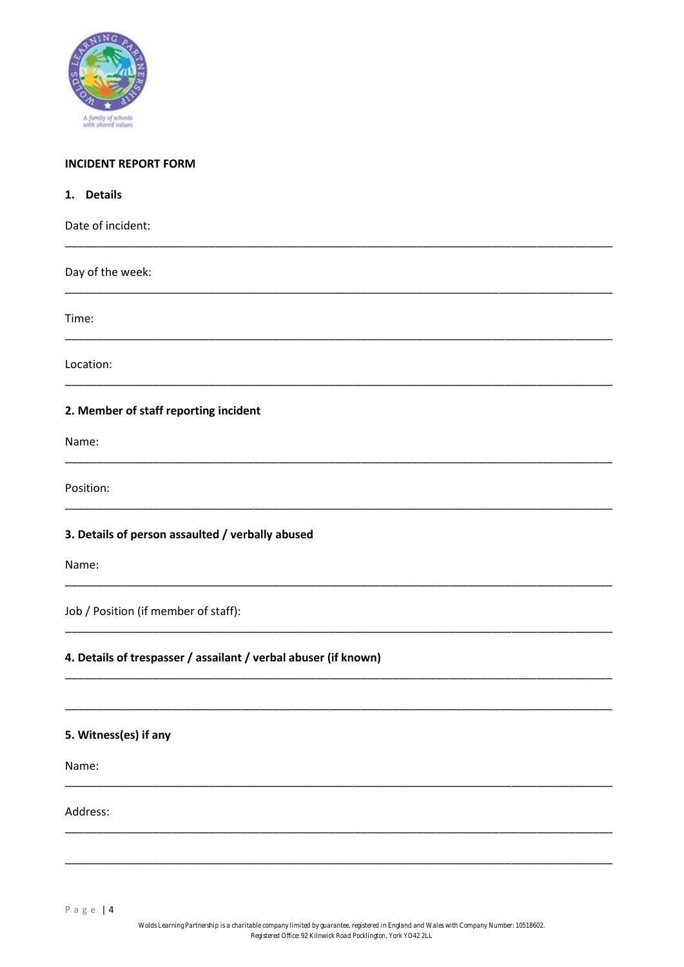

#### **INCIDENT REPORT FORM**

| 1. Details                                                      |
|-----------------------------------------------------------------|
| Date of incident:                                               |
| Day of the week:                                                |
| Time:                                                           |
| Location:                                                       |
| 2. Member of staff reporting incident                           |
| Name:                                                           |
| Position:                                                       |
| 3. Details of person assaulted / verbally abused                |
| Name:                                                           |
| Job / Position (if member of staff):                            |
| 4. Details of trespasser / assailant / verbal abuser (if known) |
|                                                                 |
| 5. Witness(es) if any                                           |
| Name:                                                           |
| Address:                                                        |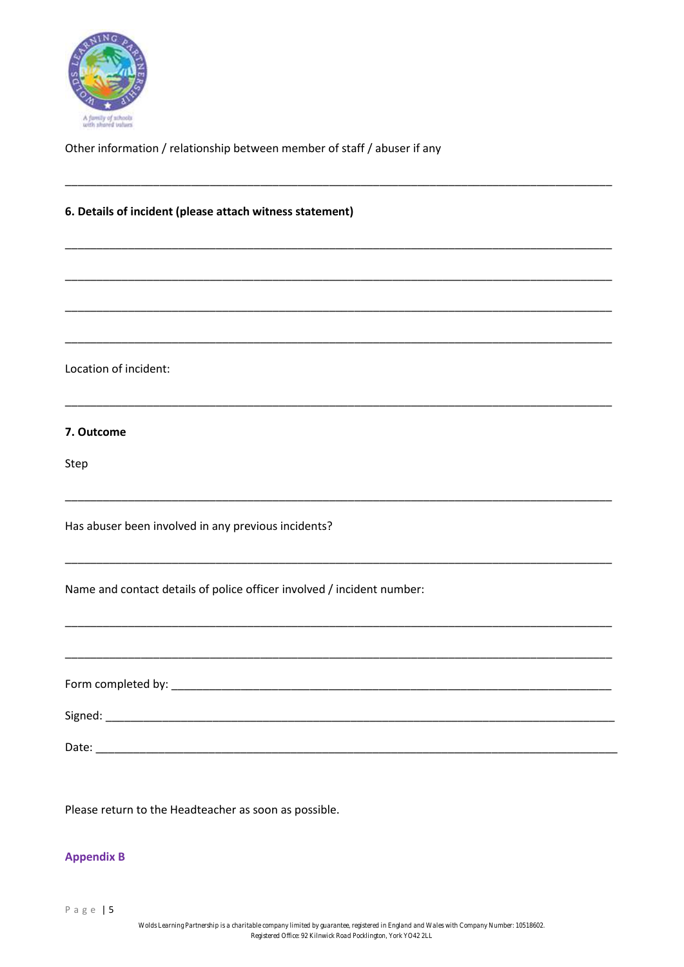

Other information / relationship between member of staff / abuser if any

\_\_\_\_\_\_\_\_\_\_\_\_\_\_\_\_\_\_\_\_\_\_\_\_\_\_\_\_\_\_\_\_\_\_\_\_\_\_\_\_\_\_\_\_\_\_\_\_\_\_\_\_\_\_\_\_\_\_\_\_\_\_\_\_\_\_\_\_\_\_\_\_\_\_\_\_\_\_\_\_\_\_\_\_\_\_\_

\_\_\_\_\_\_\_\_\_\_\_\_\_\_\_\_\_\_\_\_\_\_\_\_\_\_\_\_\_\_\_\_\_\_\_\_\_\_\_\_\_\_\_\_\_\_\_\_\_\_\_\_\_\_\_\_\_\_\_\_\_\_\_\_\_\_\_\_\_\_\_\_\_\_\_\_\_\_\_\_\_\_\_\_\_\_\_

\_\_\_\_\_\_\_\_\_\_\_\_\_\_\_\_\_\_\_\_\_\_\_\_\_\_\_\_\_\_\_\_\_\_\_\_\_\_\_\_\_\_\_\_\_\_\_\_\_\_\_\_\_\_\_\_\_\_\_\_\_\_\_\_\_\_\_\_\_\_\_\_\_\_\_\_\_\_\_\_\_\_\_\_\_\_\_

\_\_\_\_\_\_\_\_\_\_\_\_\_\_\_\_\_\_\_\_\_\_\_\_\_\_\_\_\_\_\_\_\_\_\_\_\_\_\_\_\_\_\_\_\_\_\_\_\_\_\_\_\_\_\_\_\_\_\_\_\_\_\_\_\_\_\_\_\_\_\_\_\_\_\_\_\_\_\_\_\_\_\_\_\_\_\_

\_\_\_\_\_\_\_\_\_\_\_\_\_\_\_\_\_\_\_\_\_\_\_\_\_\_\_\_\_\_\_\_\_\_\_\_\_\_\_\_\_\_\_\_\_\_\_\_\_\_\_\_\_\_\_\_\_\_\_\_\_\_\_\_\_\_\_\_\_\_\_\_\_\_\_\_\_\_\_\_\_\_\_\_\_\_\_

\_\_\_\_\_\_\_\_\_\_\_\_\_\_\_\_\_\_\_\_\_\_\_\_\_\_\_\_\_\_\_\_\_\_\_\_\_\_\_\_\_\_\_\_\_\_\_\_\_\_\_\_\_\_\_\_\_\_\_\_\_\_\_\_\_\_\_\_\_\_\_\_\_\_\_\_\_\_\_\_\_\_\_\_\_\_\_

\_\_\_\_\_\_\_\_\_\_\_\_\_\_\_\_\_\_\_\_\_\_\_\_\_\_\_\_\_\_\_\_\_\_\_\_\_\_\_\_\_\_\_\_\_\_\_\_\_\_\_\_\_\_\_\_\_\_\_\_\_\_\_\_\_\_\_\_\_\_\_\_\_\_\_\_\_\_\_\_\_\_\_\_\_\_\_

\_\_\_\_\_\_\_\_\_\_\_\_\_\_\_\_\_\_\_\_\_\_\_\_\_\_\_\_\_\_\_\_\_\_\_\_\_\_\_\_\_\_\_\_\_\_\_\_\_\_\_\_\_\_\_\_\_\_\_\_\_\_\_\_\_\_\_\_\_\_\_\_\_\_\_\_\_\_\_\_\_\_\_\_\_\_\_

\_\_\_\_\_\_\_\_\_\_\_\_\_\_\_\_\_\_\_\_\_\_\_\_\_\_\_\_\_\_\_\_\_\_\_\_\_\_\_\_\_\_\_\_\_\_\_\_\_\_\_\_\_\_\_\_\_\_\_\_\_\_\_\_\_\_\_\_\_\_\_\_\_\_\_\_\_\_\_\_\_\_\_\_\_\_\_

\_\_\_\_\_\_\_\_\_\_\_\_\_\_\_\_\_\_\_\_\_\_\_\_\_\_\_\_\_\_\_\_\_\_\_\_\_\_\_\_\_\_\_\_\_\_\_\_\_\_\_\_\_\_\_\_\_\_\_\_\_\_\_\_\_\_\_\_\_\_\_\_\_\_\_\_\_\_\_\_\_\_\_\_\_\_\_

#### **6. Details of incident (please attach witness statement)**

Location of incident:

#### **7. Outcome**

Step

Has abuser been involved in any previous incidents?

Name and contact details of police officer involved / incident number:

Form completed by: \_\_\_\_\_\_\_\_\_\_\_\_\_\_\_\_\_\_\_\_\_\_\_\_\_\_\_\_\_\_\_\_\_\_\_\_\_\_\_\_\_\_\_\_\_\_\_\_\_\_\_\_\_\_\_\_\_\_\_\_\_\_\_\_\_\_\_\_\_\_ Signed: \_\_\_\_\_\_\_\_\_\_\_\_\_\_\_\_\_\_\_\_\_\_\_\_\_\_\_\_\_\_\_\_\_\_\_\_\_\_\_\_\_\_\_\_\_\_\_\_\_\_\_\_\_\_\_\_\_\_\_\_\_\_\_\_\_\_\_\_\_\_\_\_\_\_\_\_\_\_\_\_\_ Date:

Please return to the Headteacher as soon as possible.

#### **Appendix B**

P a g e | 5